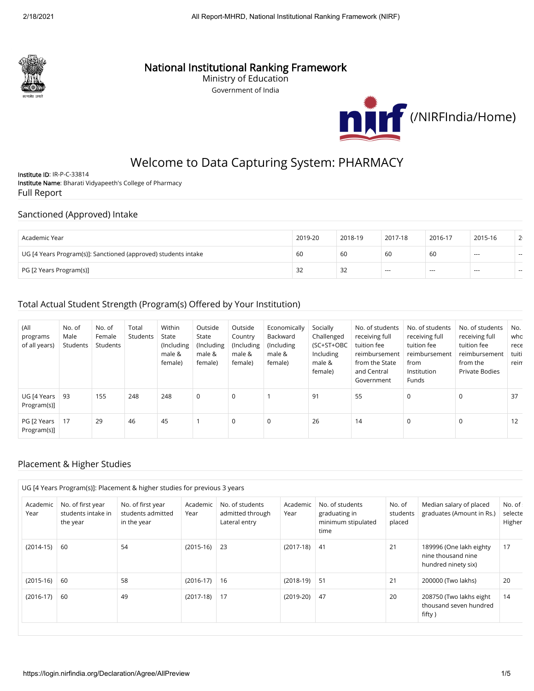

## National Institutional Ranking Framework

Ministry of Education Government of India



# Welcome to Data Capturing System: PHARMACY

Institute ID: IR-P-C-33814 Institute Name: Bharati Vidyapeeth's College of Pharmacy Full Report

#### Sanctioned (Approved) Intake

| Academic Year                                                  | 2019-20 | 2018-19      | 2017-18 | 2016-17 | 2015-16        | 2 <sub>1</sub> |
|----------------------------------------------------------------|---------|--------------|---------|---------|----------------|----------------|
| UG [4 Years Program(s)]: Sanctioned (approved) students intake | -60     | 60           | 60      | 60      | $\sim$         | $-$            |
| PG [2 Years Program(s)]                                        | 32      | $\cap$<br>32 | $- - -$ | ---     | $\overline{a}$ | $\sim$         |

#### Total Actual Student Strength (Program(s) Offered by Your Institution)

| (All<br>programs<br>of all years) | No. of<br>Male<br>Students | No. of<br>Female<br>Students | Total<br>Students | Within<br>State<br>(Including<br>male &<br>female) | Outside<br>State<br>(Including<br>male &<br>female) | Outside<br>Country<br>(Including<br>male &<br>female) | Economically<br>Backward<br>(Including<br>male &<br>female) | Socially<br>Challenged<br>(SC+ST+OBC<br>Including<br>male &<br>female) | No. of students<br>receiving full<br>tuition fee<br>reimbursement<br>from the State<br>and Central<br>Government | No. of students<br>receiving full<br>tuition fee<br>reimbursement<br>from<br>Institution<br>Funds | No. of students<br>receiving full<br>tuition fee<br>reimbursement<br>from the<br><b>Private Bodies</b> | No.<br>who<br>rece<br>tuiti<br>reim |
|-----------------------------------|----------------------------|------------------------------|-------------------|----------------------------------------------------|-----------------------------------------------------|-------------------------------------------------------|-------------------------------------------------------------|------------------------------------------------------------------------|------------------------------------------------------------------------------------------------------------------|---------------------------------------------------------------------------------------------------|--------------------------------------------------------------------------------------------------------|-------------------------------------|
| UG [4 Years<br>Program(s)]        | -93                        | 155                          | 248               | 248                                                | 0                                                   | $\mathbf 0$                                           |                                                             | 91                                                                     | 55                                                                                                               | $\mathbf 0$                                                                                       | 0                                                                                                      | 37                                  |
| PG [2 Years<br>Program(s)]        | 17                         | 29                           | 46                | 45                                                 |                                                     | 0                                                     | $\mathbf 0$                                                 | 26                                                                     | 14                                                                                                               | 0                                                                                                 | 0                                                                                                      | 12                                  |

#### Placement & Higher Studies

| Academic<br>Year | No. of first year<br>students intake in<br>the year | No. of first year<br>students admitted<br>in the year | Academic<br>Year | No. of students<br>admitted through<br>Lateral entry | Academic<br>Year | No. of students<br>graduating in<br>minimum stipulated<br>time | No. of<br>students<br>placed | Median salary of placed<br>graduates (Amount in Rs.)                 | No. of:<br>selecte<br>Higher |
|------------------|-----------------------------------------------------|-------------------------------------------------------|------------------|------------------------------------------------------|------------------|----------------------------------------------------------------|------------------------------|----------------------------------------------------------------------|------------------------------|
| $(2014-15)$      | -60                                                 | 54                                                    | $(2015-16)$      | 23                                                   | $(2017-18)$      | -41                                                            | 21                           | 189996 (One lakh eighty<br>nine thousand nine<br>hundred ninety six) | 17                           |
| $(2015-16)$      | -60                                                 | 58                                                    | $(2016-17)$      | 16                                                   | $(2018-19)$      | 51                                                             | 21                           | 200000 (Two lakhs)                                                   | 20                           |
| $(2016-17)$      | 60                                                  | 49                                                    | $(2017-18)$      | 17                                                   | $(2019-20)$      | 47                                                             | 20                           | 208750 (Two lakhs eight<br>thousand seven hundred<br>fifty)          | 14                           |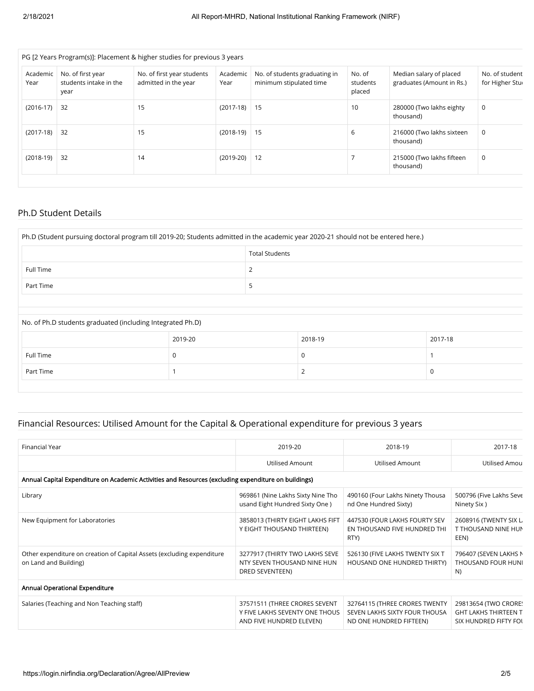| Academic<br>Year | No. of first year<br>students intake in the<br>year | No. of first year students<br>admitted in the year | Academic<br>Year | No. of students graduating in<br>minimum stipulated time | No. of<br>students<br>placed | Median salary of placed<br>graduates (Amount in Rs.) | No. of student<br>for Higher Stur |
|------------------|-----------------------------------------------------|----------------------------------------------------|------------------|----------------------------------------------------------|------------------------------|------------------------------------------------------|-----------------------------------|
| $(2016-17)$      | 32                                                  | 15                                                 | $(2017-18)$ 15   |                                                          | 10                           | 280000 (Two lakhs eighty<br>thousand)                | 0                                 |
| $(2017-18)$      | 32                                                  | 15                                                 | $(2018-19)$ 15   |                                                          | 6                            | 216000 (Two lakhs sixteen<br>thousand)               | 0                                 |
| $(2018-19)$      | 32                                                  | 14                                                 | $(2019-20)$      | 12                                                       |                              | 215000 (Two lakhs fifteen<br>thousand)               | 0                                 |

#### Ph.D Student Details

| Ph.D (Student pursuing doctoral program till 2019-20; Students admitted in the academic year 2020-21 should not be entered here.) |  |  |  |  |
|-----------------------------------------------------------------------------------------------------------------------------------|--|--|--|--|
| <b>Total Students</b>                                                                                                             |  |  |  |  |
| <b>Full Time</b>                                                                                                                  |  |  |  |  |
| Part Time                                                                                                                         |  |  |  |  |
|                                                                                                                                   |  |  |  |  |

#### No. of Ph.D students graduated (including Integrated Ph.D)

|           | 2019-20 | 2018-19 | 2017-18 |
|-----------|---------|---------|---------|
| Full Time |         | U       |         |
| Part Time |         |         |         |

### Financial Resources: Utilised Amount for the Capital & Operational expenditure for previous 3 years

| Financial Year                                                                                       | 2019-20                                                                                     | 2018-19                                                                                   | 2017-18                                                                      |  |  |  |  |  |
|------------------------------------------------------------------------------------------------------|---------------------------------------------------------------------------------------------|-------------------------------------------------------------------------------------------|------------------------------------------------------------------------------|--|--|--|--|--|
|                                                                                                      | <b>Utilised Amount</b>                                                                      | <b>Utilised Amount</b>                                                                    | Utilised Amou                                                                |  |  |  |  |  |
| Annual Capital Expenditure on Academic Activities and Resources (excluding expenditure on buildings) |                                                                                             |                                                                                           |                                                                              |  |  |  |  |  |
| Library                                                                                              | 969861 (Nine Lakhs Sixty Nine Tho<br>usand Eight Hundred Sixty One)                         | 490160 (Four Lakhs Ninety Thousa<br>nd One Hundred Sixty)                                 | 500796 (Five Lakhs Seve<br>Ninety Six)                                       |  |  |  |  |  |
| New Equipment for Laboratories                                                                       | 3858013 (THIRTY EIGHT LAKHS FIFT<br>Y EIGHT THOUSAND THIRTEEN)                              | 447530 (FOUR LAKHS FOURTY SEV<br>EN THOUSAND FIVE HUNDRED THI<br>RTY)                     | 2608916 (TWENTY SIX L)<br>T THOUSAND NINE HUN<br>EEN)                        |  |  |  |  |  |
| Other expenditure on creation of Capital Assets (excluding expenditure<br>on Land and Building)      | 3277917 (THIRTY TWO LAKHS SEVE<br>NTY SEVEN THOUSAND NINE HUN<br>DRED SEVENTEEN)            | 526130 (FIVE LAKHS TWENTY SIX T<br>HOUSAND ONE HUNDRED THIRTY)                            | 796407 (SEVEN LAKHS N<br>THOUSAND FOUR HUNI<br>N)                            |  |  |  |  |  |
| Annual Operational Expenditure                                                                       |                                                                                             |                                                                                           |                                                                              |  |  |  |  |  |
| Salaries (Teaching and Non Teaching staff)                                                           | 37571511 (THREE CRORES SEVENT<br>Y FIVE LAKHS SEVENTY ONE THOUS<br>AND FIVE HUNDRED ELEVEN) | 32764115 (THREE CRORES TWENTY<br>SEVEN LAKHS SIXTY FOUR THOUSA<br>ND ONE HUNDRED FIFTEEN) | 29813654 (TWO CRORE)<br><b>GHT LAKHS THIRTEEN T</b><br>SIX HUNDRED FIFTY FOL |  |  |  |  |  |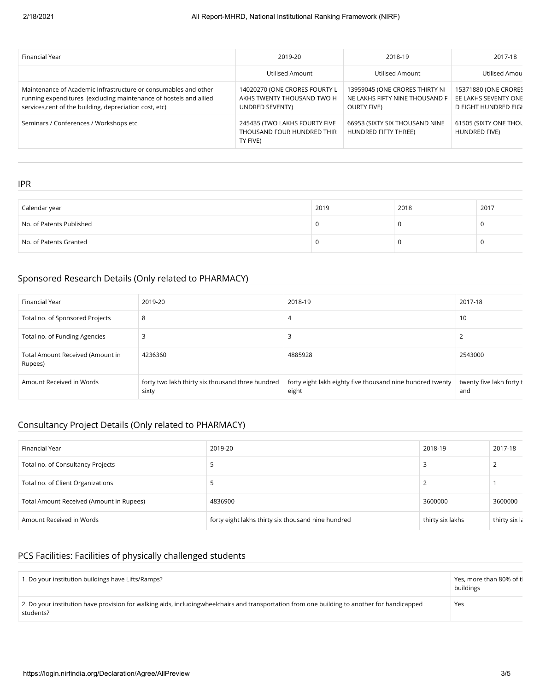| Financial Year                                                                                                                                                                                  | 2019-20                                                                        | 2018-19                                                                                | 2017-18                                                              |
|-------------------------------------------------------------------------------------------------------------------------------------------------------------------------------------------------|--------------------------------------------------------------------------------|----------------------------------------------------------------------------------------|----------------------------------------------------------------------|
|                                                                                                                                                                                                 | Utilised Amount                                                                | Utilised Amount                                                                        | Utilised Amou                                                        |
| Maintenance of Academic Infrastructure or consumables and other<br>running expenditures (excluding maintenance of hostels and allied<br>services, rent of the building, depreciation cost, etc) | 14020270 (ONE CRORES FOURTY L<br>AKHS TWENTY THOUSAND TWO H<br>UNDRED SEVENTY) | 13959045 (ONE CRORES THIRTY NI<br>NE LAKHS FIFTY NINE THOUSAND F<br><b>OURTY FIVE)</b> | 15371880 (ONE CRORES<br>EE LAKHS SEVENTY ONE<br>D EIGHT HUNDRED EIGH |
| Seminars / Conferences / Workshops etc.                                                                                                                                                         | 245435 (TWO LAKHS FOURTY FIVE<br>THOUSAND FOUR HUNDRED THIR<br>TY FIVE)        | 66953 (SIXTY SIX THOUSAND NINE<br>HUNDRED FIFTY THREE)                                 | 61505 (SIXTY ONE THOL<br>HUNDRED FIVE)                               |

IPR

| Calendar year                                    | 2019 | 2018 | 2017 |
|--------------------------------------------------|------|------|------|
| $\mathord{\;\mathsf{N}}$ o. of Patents Published |      |      |      |
| No. of Patents Granted                           |      |      |      |

### Sponsored Research Details (Only related to PHARMACY)

| Financial Year                              | 2019-20                                                   | 2018-19                                                            | 2017-18                         |
|---------------------------------------------|-----------------------------------------------------------|--------------------------------------------------------------------|---------------------------------|
| Total no. of Sponsored Projects             | 8                                                         | 4                                                                  | 10                              |
| Total no. of Funding Agencies               |                                                           |                                                                    |                                 |
| Total Amount Received (Amount in<br>Rupees) | 4236360                                                   | 4885928                                                            | 2543000                         |
| Amount Received in Words                    | forty two lakh thirty six thousand three hundred<br>sixty | forty eight lakh eighty five thousand nine hundred twenty<br>eight | twenty five lakh forty t<br>and |

### Consultancy Project Details (Only related to PHARMACY)

| Financial Year                           | 2019-20                                            | 2018-19          | 2017-18       |
|------------------------------------------|----------------------------------------------------|------------------|---------------|
| Total no. of Consultancy Projects        |                                                    |                  |               |
| Total no. of Client Organizations        |                                                    |                  |               |
| Total Amount Received (Amount in Rupees) | 4836900                                            | 3600000          | 3600000       |
| Amount Received in Words                 | forty eight lakhs thirty six thousand nine hundred | thirty six lakhs | thirty six la |

### PCS Facilities: Facilities of physically challenged students

| 1. Do your institution buildings have Lifts/Ramps?                                                                                                        | Yes, more than 80% of tl<br>buildings |
|-----------------------------------------------------------------------------------------------------------------------------------------------------------|---------------------------------------|
| 2. Do your institution have provision for walking aids, includingwheelchairs and transportation from one building to another for handicapped<br>students? | Yes                                   |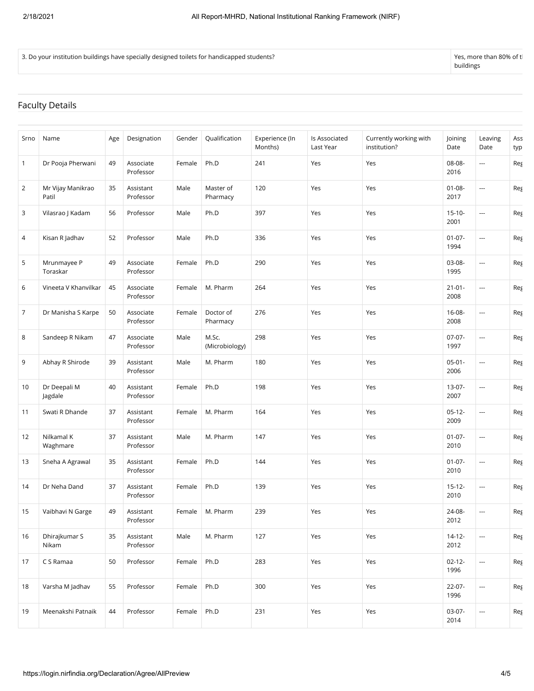3. Do your institution buildings have specially designed toilets for handicapped students? Yes, more than 80% of than 80% of the students of the students of the students of the students of the students of the students of t

buildings

### Faculty Details

| Srno           | Name                       | Age | Designation            | Gender | Qualification           | Experience (In<br>Months) | Is Associated<br>Last Year | Currently working with<br>institution? | Joining<br>Date     | Leaving<br>Date          | Ass<br>typ |
|----------------|----------------------------|-----|------------------------|--------|-------------------------|---------------------------|----------------------------|----------------------------------------|---------------------|--------------------------|------------|
| 1              | Dr Pooja Pherwani          | 49  | Associate<br>Professor | Female | Ph.D                    | 241                       | Yes                        | Yes                                    | 08-08-<br>2016      | ---                      | Reg        |
| $\overline{2}$ | Mr Vijay Manikrao<br>Patil | 35  | Assistant<br>Professor | Male   | Master of<br>Pharmacy   | 120                       | Yes                        | Yes                                    | $01 - 08 -$<br>2017 | $\sim$                   | Reg        |
| 3              | Vilasrao J Kadam           | 56  | Professor              | Male   | Ph.D                    | 397                       | Yes                        | Yes                                    | $15 - 10 -$<br>2001 | ---                      | Reg        |
| 4              | Kisan R Jadhav             | 52  | Professor              | Male   | Ph.D                    | 336                       | Yes                        | Yes                                    | $01 - 07 -$<br>1994 | ---                      | Reg        |
| 5              | Mrunmayee P<br>Toraskar    | 49  | Associate<br>Professor | Female | Ph.D                    | 290                       | Yes                        | Yes                                    | $03 - 08 -$<br>1995 | ---                      | Reg        |
| 6              | Vineeta V Khanvilkar       | 45  | Associate<br>Professor | Female | M. Pharm                | 264                       | Yes                        | Yes                                    | $21 - 01 -$<br>2008 | ---                      | Reg        |
| 7              | Dr Manisha S Karpe         | 50  | Associate<br>Professor | Female | Doctor of<br>Pharmacy   | 276                       | Yes                        | Yes                                    | $16 - 08 -$<br>2008 | ---                      | Reg        |
| 8              | Sandeep R Nikam            | 47  | Associate<br>Professor | Male   | M.Sc.<br>(Microbiology) | 298                       | Yes                        | Yes                                    | $07-07-$<br>1997    | ---                      | Reg        |
| 9              | Abhay R Shirode            | 39  | Assistant<br>Professor | Male   | M. Pharm                | 180                       | Yes                        | Yes                                    | $05 - 01 -$<br>2006 | ---                      | Reg        |
| 10             | Dr Deepali M<br>Jagdale    | 40  | Assistant<br>Professor | Female | Ph.D                    | 198                       | Yes                        | Yes                                    | $13-07-$<br>2007    | ---                      | Reg        |
| 11             | Swati R Dhande             | 37  | Assistant<br>Professor | Female | M. Pharm                | 164                       | Yes                        | Yes                                    | $05-12-$<br>2009    | $\sim$                   | Reg        |
| 12             | Nilkamal K<br>Waghmare     | 37  | Assistant<br>Professor | Male   | M. Pharm                | 147                       | Yes                        | Yes                                    | $01-07-$<br>2010    | ---                      | Reg        |
| 13             | Sneha A Agrawal            | 35  | Assistant<br>Professor | Female | Ph.D                    | 144                       | Yes                        | Yes                                    | $01 - 07 -$<br>2010 | ---                      | Reg        |
| 14             | Dr Neha Dand               | 37  | Assistant<br>Professor | Female | Ph.D                    | 139                       | Yes                        | Yes                                    | $15 - 12 -$<br>2010 | ---                      | Reg        |
| 15             | Vaibhavi N Garge           | 49  | Assistant<br>Professor | Female | M. Pharm                | 239                       | Yes                        | Yes                                    | 24-08-<br>2012      | ---                      | Reg        |
| 16             | Dhirajkumar S<br>Nikam     | 35  | Assistant<br>Professor | Male   | M. Pharm                | 127                       | Yes                        | Yes                                    | $14 - 12 -$<br>2012 | $\overline{\phantom{a}}$ | Reg        |
| 17             | C S Ramaa                  | 50  | Professor              | Female | Ph.D                    | 283                       | Yes                        | Yes                                    | $02 - 12 -$<br>1996 |                          | Reg        |
| 18             | Varsha M Jadhav            | 55  | Professor              | Female | Ph.D                    | 300                       | Yes                        | Yes                                    | $22 - 07 -$<br>1996 | $\overline{a}$           | Reg        |
| 19             | Meenakshi Patnaik          | 44  | Professor              | Female | Ph.D                    | 231                       | Yes                        | Yes                                    | $03-07-$<br>2014    | $\overline{\phantom{a}}$ | Reg        |